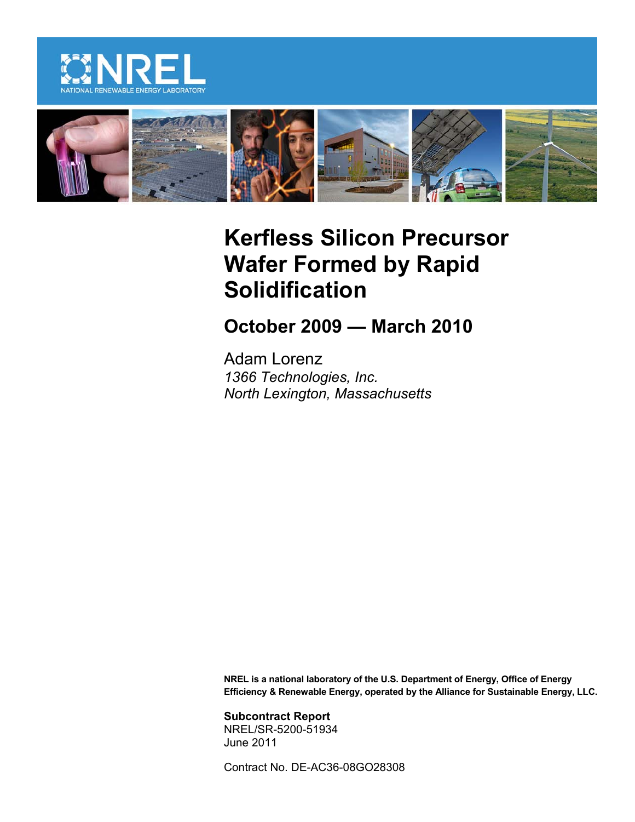



# **Kerfless Silicon Precursor Wafer Formed by Rapid Solidification**

**October 2009 — March 2010**

Adam Lorenz *1366 Technologies, Inc. North Lexington, Massachusetts*

**NREL is a national laboratory of the U.S. Department of Energy, Office of Energy Efficiency & Renewable Energy, operated by the Alliance for Sustainable Energy, LLC.**

**Subcontract Report** NREL/SR-5200-51934 June 2011

Contract No. DE-AC36-08GO28308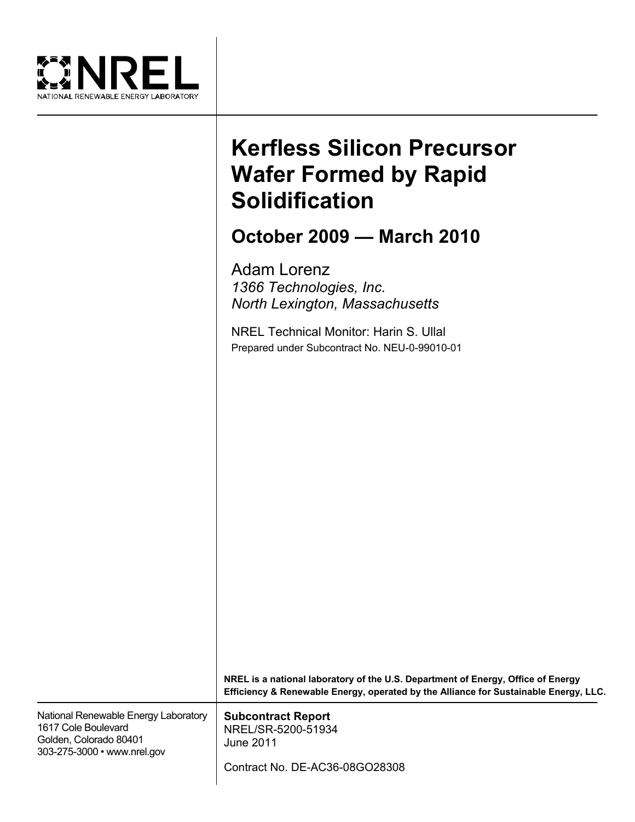

# **Kerfless Silicon Precursor Wafer Formed by Rapid Solidification**

# **October 2009 — March 2010**

Adam Lorenz *1366 Technologies, Inc. North Lexington, Massachusetts*

NREL Technical Monitor: Harin S. Ullal Prepared under Subcontract No. NEU-0-99010-01

|                                                                                                                      | NREL is a national laboratory of the U.S. Department of Energy, Office of Energy<br>Efficiency & Renewable Energy, operated by the Alliance for Sustainable Energy, LLC. |
|----------------------------------------------------------------------------------------------------------------------|--------------------------------------------------------------------------------------------------------------------------------------------------------------------------|
| National Renewable Energy Laboratory<br>1617 Cole Boulevard<br>Golden, Colorado 80401<br>303-275-3000 • www.nrel.gov | <b>Subcontract Report</b><br>NREL/SR-5200-51934<br>June 2011<br>Contract No. DE-AC36-08GO28308                                                                           |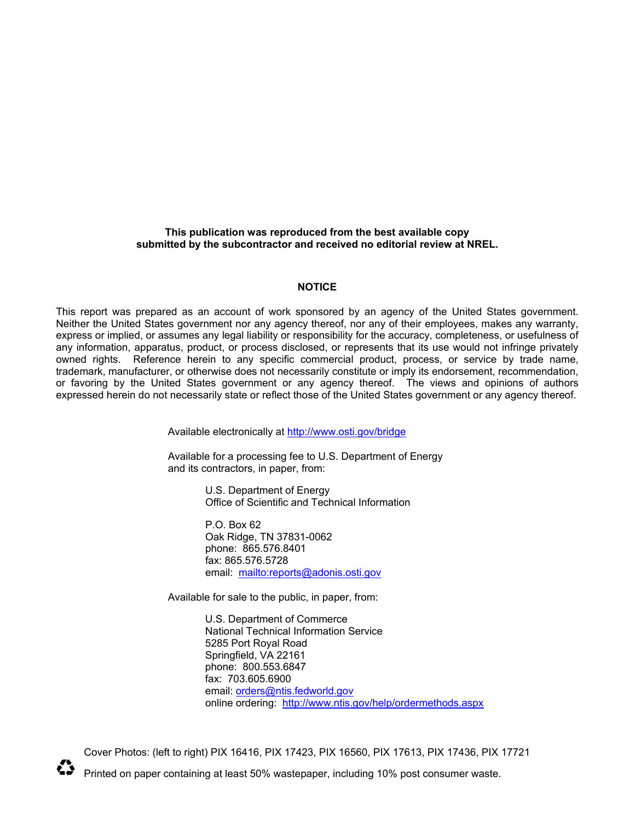#### **This publication was reproduced from the best available copy submitted by the subcontractor and received no editorial review at NREL.**

#### **NOTICE**

This report was prepared as an account of work sponsored by an agency of the United States government. Neither the United States government nor any agency thereof, nor any of their employees, makes any warranty, express or implied, or assumes any legal liability or responsibility for the accuracy, completeness, or usefulness of any information, apparatus, product, or process disclosed, or represents that its use would not infringe privately owned rights. Reference herein to any specific commercial product, process, or service by trade name, trademark, manufacturer, or otherwise does not necessarily constitute or imply its endorsement, recommendation, or favoring by the United States government or any agency thereof. The views and opinions of authors expressed herein do not necessarily state or reflect those of the United States government or any agency thereof.

Available electronically at<http://www.osti.gov/bridge>

Available for a processing fee to U.S. Department of Energy and its contractors, in paper, from:

> U.S. Department of Energy Office of Scientific and Technical Information

P.O. Box 62 Oak Ridge, TN 37831-0062 phone: 865.576.8401 fax: 865.576.5728 email: <mailto:reports@adonis.osti.gov>

Available for sale to the public, in paper, from:

U.S. Department of Commerce National Technical Information Service 5285 Port Royal Road Springfield, VA 22161 phone: 800.553.6847 fax: 703.605.6900 email: [orders@ntis.fedworld.gov](mailto:orders@ntis.fedworld.gov) online ordering: <http://www.ntis.gov/help/ordermethods.aspx>

Cover Photos: (left to right) PIX 16416, PIX 17423, PIX 16560, PIX 17613, PIX 17436, PIX 17721



Printed on paper containing at least 50% wastepaper, including 10% post consumer waste.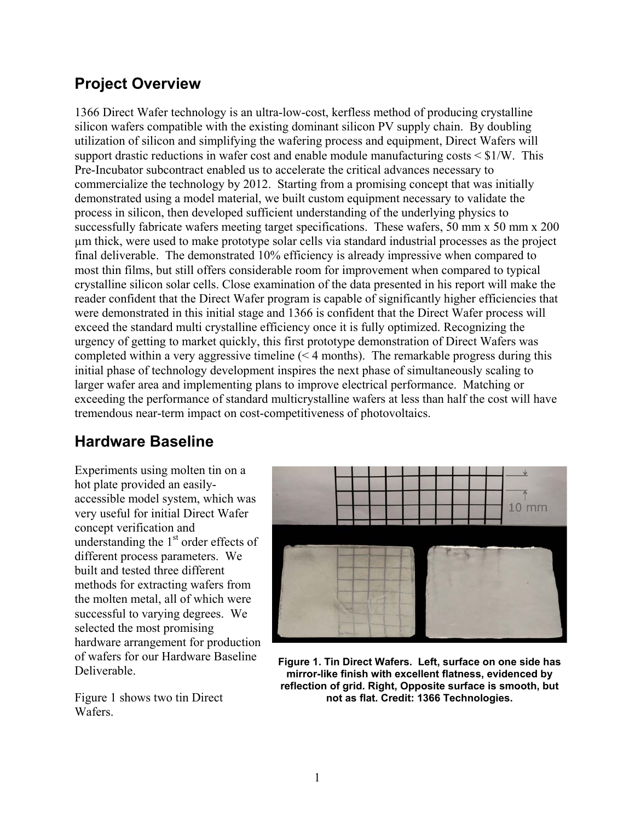#### **Project Overview**

1366 Direct Wafer technology is an ultra-low-cost, kerfless method of producing crystalline silicon wafers compatible with the existing dominant silicon PV supply chain. By doubling utilization of silicon and simplifying the wafering process and equipment, Direct Wafers will support drastic reductions in wafer cost and enable module manufacturing costs  $\leq$  \$1/W. This Pre-Incubator subcontract enabled us to accelerate the critical advances necessary to commercialize the technology by 2012. Starting from a promising concept that was initially demonstrated using a model material, we built custom equipment necessary to validate the process in silicon, then developed sufficient understanding of the underlying physics to successfully fabricate wafers meeting target specifications. These wafers, 50 mm x 50 mm x 200 µm thick, were used to make prototype solar cells via standard industrial processes as the project final deliverable. The demonstrated 10% efficiency is already impressive when compared to most thin films, but still offers considerable room for improvement when compared to typical crystalline silicon solar cells. Close examination of the data presented in his report will make the reader confident that the Direct Wafer program is capable of significantly higher efficiencies that were demonstrated in this initial stage and 1366 is confident that the Direct Wafer process will exceed the standard multi crystalline efficiency once it is fully optimized. Recognizing the urgency of getting to market quickly, this first prototype demonstration of Direct Wafers was completed within a very aggressive timeline (< 4 months). The remarkable progress during this initial phase of technology development inspires the next phase of simultaneously scaling to larger wafer area and implementing plans to improve electrical performance. Matching or exceeding the performance of standard multicrystalline wafers at less than half the cost will have tremendous near-term impact on cost-competitiveness of photovoltaics.

#### **Hardware Baseline**

Experiments using molten tin on a hot plate provided an easilyaccessible model system, which was very useful for initial Direct Wafer concept verification and understanding the  $1<sup>st</sup>$  order effects of different process parameters. We built and tested three different methods for extracting wafers from the molten metal, all of which were successful to varying degrees. We selected the most promising hardware arrangement for production of wafers for our Hardware Baseline Deliverable.

Figure 1 shows two tin Direct **Wafers** 



**Figure 1. Tin Direct Wafers. Left, surface on one side has mirror-like finish with excellent flatness, evidenced by reflection of grid. Right, Opposite surface is smooth, but not as flat. Credit: 1366 Technologies.**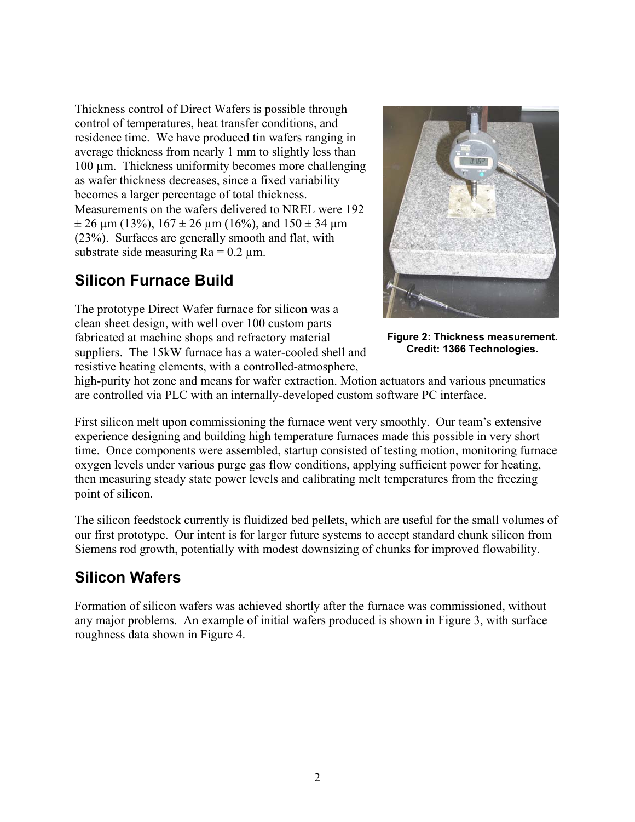Thickness control of Direct Wafers is possible through control of temperatures, heat transfer conditions, and residence time. We have produced tin wafers ranging in average thickness from nearly 1 mm to slightly less than 100 µm. Thickness uniformity becomes more challenging as wafer thickness decreases, since a fixed variability becomes a larger percentage of total thickness. Measurements on the wafers delivered to NREL were 192  $\pm$  26 um (13%), 167  $\pm$  26 um (16%), and 150  $\pm$  34 um (23%). Surfaces are generally smooth and flat, with substrate side measuring  $Ra = 0.2 \mu m$ .

### **Silicon Furnace Build**

The prototype Direct Wafer furnace for silicon was a clean sheet design, with well over 100 custom parts fabricated at machine shops and refractory material suppliers. The 15kW furnace has a water-cooled shell and resistive heating elements, with a controlled-atmosphere,



**Figure 2: Thickness measurement. Credit: 1366 Technologies.**

high-purity hot zone and means for wafer extraction. Motion actuators and various pneumatics are controlled via PLC with an internally-developed custom software PC interface.

First silicon melt upon commissioning the furnace went very smoothly. Our team's extensive experience designing and building high temperature furnaces made this possible in very short time. Once components were assembled, startup consisted of testing motion, monitoring furnace oxygen levels under various purge gas flow conditions, applying sufficient power for heating, then measuring steady state power levels and calibrating melt temperatures from the freezing point of silicon.

The silicon feedstock currently is fluidized bed pellets, which are useful for the small volumes of our first prototype. Our intent is for larger future systems to accept standard chunk silicon from Siemens rod growth, potentially with modest downsizing of chunks for improved flowability.

### **Silicon Wafers**

Formation of silicon wafers was achieved shortly after the furnace was commissioned, without any major problems. An example of initial wafers produced is shown in Figure 3, with surface roughness data shown in Figure 4.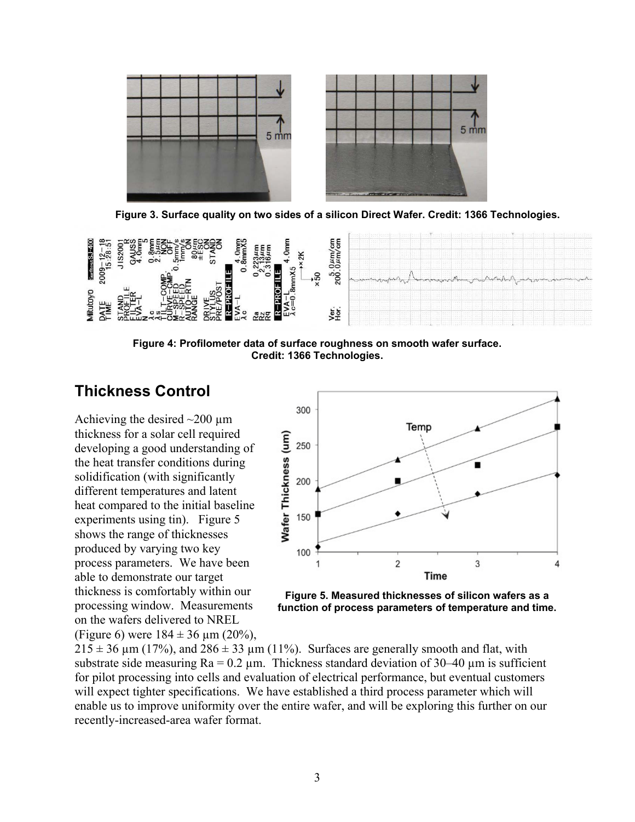

**Figure 3. Surface quality on two sides of a silicon Direct Wafer. Credit: 1366 Technologies.**



**Figure 4: Profilometer data of surface roughness on smooth wafer surface. Credit: 1366 Technologies.** 

#### **Thickness Control**

Achieving the desired  $\sim$ 200 µm thickness for a solar cell required developing a good understanding of the heat transfer conditions during solidification (with significantly different temperatures and latent heat compared to the initial baseline experiments using tin). Figure 5 shows the range of thicknesses produced by varying two key process parameters. We have been able to demonstrate our target thickness is comfortably within our processing window. Measurements on the wafers delivered to NREL (Figure 6) were  $184 \pm 36 \text{ µm}$  (20%),



**Figure 5. Measured thicknesses of silicon wafers as a function of process parameters of temperature and time.**

 $215 \pm 36$  µm (17%), and  $286 \pm 33$  µm (11%). Surfaces are generally smooth and flat, with substrate side measuring  $Ra = 0.2 \mu m$ . Thickness standard deviation of 30–40  $\mu m$  is sufficient for pilot processing into cells and evaluation of electrical performance, but eventual customers will expect tighter specifications. We have established a third process parameter which will enable us to improve uniformity over the entire wafer, and will be exploring this further on our recently-increased-area wafer format.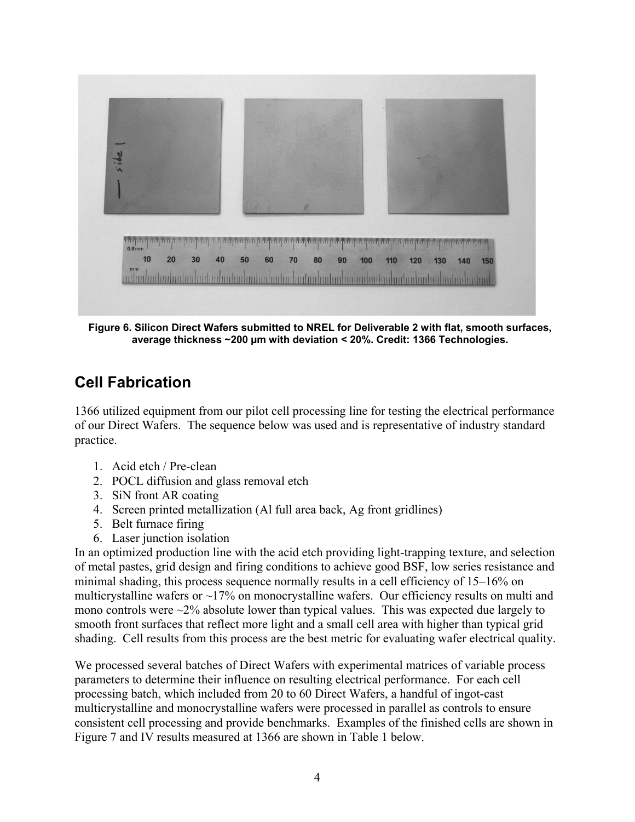

**Figure 6. Silicon Direct Wafers submitted to NREL for Deliverable 2 with flat, smooth surfaces, average thickness ~200 µm with deviation < 20%. Credit: 1366 Technologies.**

### **Cell Fabrication**

1366 utilized equipment from our pilot cell processing line for testing the electrical performance of our Direct Wafers. The sequence below was used and is representative of industry standard practice.

- 1. Acid etch / Pre-clean
- 2. POCL diffusion and glass removal etch
- 3. SiN front AR coating
- 4. Screen printed metallization (Al full area back, Ag front gridlines)
- 5. Belt furnace firing
- 6. Laser junction isolation

In an optimized production line with the acid etch providing light-trapping texture, and selection of metal pastes, grid design and firing conditions to achieve good BSF, low series resistance and minimal shading, this process sequence normally results in a cell efficiency of 15–16% on multicrystalline wafers or  $\sim$ 17% on monocrystalline wafers. Our efficiency results on multi and mono controls were  $\sim$ 2% absolute lower than typical values. This was expected due largely to smooth front surfaces that reflect more light and a small cell area with higher than typical grid shading. Cell results from this process are the best metric for evaluating wafer electrical quality.

We processed several batches of Direct Wafers with experimental matrices of variable process parameters to determine their influence on resulting electrical performance. For each cell processing batch, which included from 20 to 60 Direct Wafers, a handful of ingot-cast multicrystalline and monocrystalline wafers were processed in parallel as controls to ensure consistent cell processing and provide benchmarks. Examples of the finished cells are shown in Figure 7 and IV results measured at 1366 are shown in Table 1 below.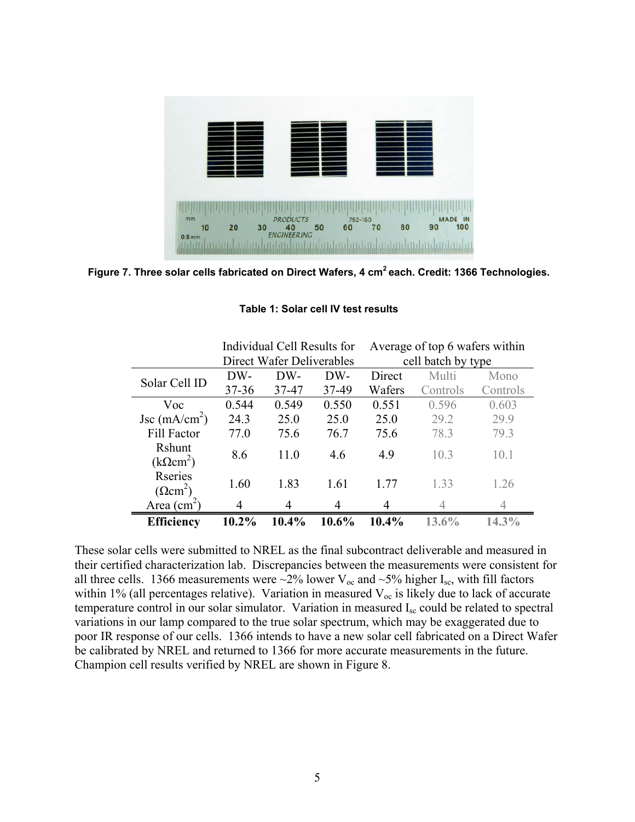

**Figure 7. Three solar cells fabricated on Direct Wafers, 4 cm2 each. Credit: 1366 Technologies.**

|                                   | Individual Cell Results for |       |       | Average of top 6 wafers within |          |          |
|-----------------------------------|-----------------------------|-------|-------|--------------------------------|----------|----------|
|                                   | Direct Wafer Deliverables   |       |       | cell batch by type             |          |          |
| Solar Cell ID                     | DW-                         | DW-   | DW-   | Direct                         | Multi    | Mono     |
|                                   | $37 - 36$                   | 37-47 | 37-49 | Wafers                         | Controls | Controls |
| Voc                               | 0.544                       | 0.549 | 0.550 | 0.551                          | 0.596    | 0.603    |
| Jsc $(mA/cm2)$                    | 24.3                        | 25.0  | 25.0  | 25.0                           | 29.2     | 29.9     |
| Fill Factor                       | 77.0                        | 75.6  | 76.7  | 75.6                           | 78.3     | 79.3     |
| Rshunt<br>$(k\Omega cm^2)$        | 8.6                         | 11.0  | 4.6   | 4.9                            | 10.3     | 10.1     |
| Rseries<br>$(\Omega \text{cm}^2)$ | 1.60                        | 1.83  | 1.61  | 1.77                           | 1.33     | 1.26     |
| Area $(cm2)$                      | 4                           | 4     | 4     |                                |          |          |
| <b>Efficiency</b>                 | 10.2%                       | 10.4% | 10.6% | $10.4\%$                       | $13.6\%$ | $14.3\%$ |

**Table 1: Solar cell IV test results**

These solar cells were submitted to NREL as the final subcontract deliverable and measured in their certified characterization lab. Discrepancies between the measurements were consistent for all three cells. 1366 measurements were  $\sim$ 2% lower V<sub>oc</sub> and  $\sim$ 5% higher I<sub>sc</sub>, with fill factors within 1% (all percentages relative). Variation in measured  $V_{oc}$  is likely due to lack of accurate temperature control in our solar simulator. Variation in measured Isc could be related to spectral variations in our lamp compared to the true solar spectrum, which may be exaggerated due to poor IR response of our cells. 1366 intends to have a new solar cell fabricated on a Direct Wafer be calibrated by NREL and returned to 1366 for more accurate measurements in the future. Champion cell results verified by NREL are shown in Figure 8.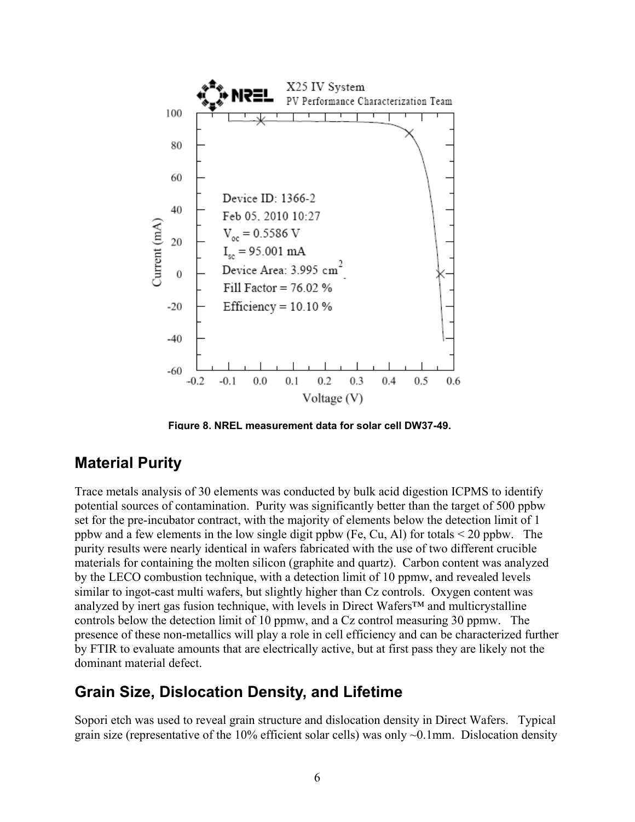

**Figure 8. NREL measurement data for solar cell DW37-49.**

#### **Material Purity**

Trace metals analysis of 30 elements was conducted by bulk acid digestion ICPMS to identify potential sources of contamination. Purity was significantly better than the target of 500 ppbw set for the pre-incubator contract, with the majority of elements below the detection limit of 1 ppbw and a few elements in the low single digit ppbw (Fe, Cu, Al) for totals < 20 ppbw. The purity results were nearly identical in wafers fabricated with the use of two different crucible materials for containing the molten silicon (graphite and quartz). Carbon content was analyzed by the LECO combustion technique, with a detection limit of 10 ppmw, and revealed levels similar to ingot-cast multi wafers, but slightly higher than Cz controls. Oxygen content was analyzed by inert gas fusion technique, with levels in Direct Wafers™ and multicrystalline controls below the detection limit of 10 ppmw, and a Cz control measuring 30 ppmw. The presence of these non-metallics will play a role in cell efficiency and can be characterized further by FTIR to evaluate amounts that are electrically active, but at first pass they are likely not the dominant material defect.

#### **Grain Size, Dislocation Density, and Lifetime**

Sopori etch was used to reveal grain structure and dislocation density in Direct Wafers. Typical grain size (representative of the  $10\%$  efficient solar cells) was only  $\sim 0.1$ mm. Dislocation density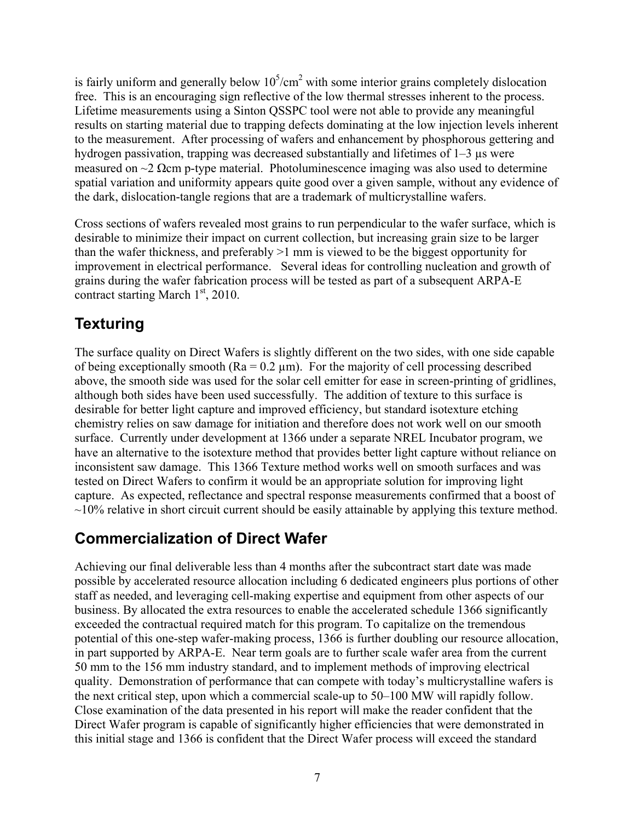is fairly uniform and generally below  $10^5$ / $cm^2$  with some interior grains completely dislocation free. This is an encouraging sign reflective of the low thermal stresses inherent to the process. Lifetime measurements using a Sinton QSSPC tool were not able to provide any meaningful results on starting material due to trapping defects dominating at the low injection levels inherent to the measurement. After processing of wafers and enhancement by phosphorous gettering and hydrogen passivation, trapping was decreased substantially and lifetimes of 1–3  $\mu$ s were measured on  $\sim$ 2  $\Omega$ cm p-type material. Photoluminescence imaging was also used to determine spatial variation and uniformity appears quite good over a given sample, without any evidence of the dark, dislocation-tangle regions that are a trademark of multicrystalline wafers.

Cross sections of wafers revealed most grains to run perpendicular to the wafer surface, which is desirable to minimize their impact on current collection, but increasing grain size to be larger than the wafer thickness, and preferably >1 mm is viewed to be the biggest opportunity for improvement in electrical performance. Several ideas for controlling nucleation and growth of grains during the wafer fabrication process will be tested as part of a subsequent ARPA-E contract starting March  $1<sup>st</sup>$ , 2010.

## **Texturing**

The surface quality on Direct Wafers is slightly different on the two sides, with one side capable of being exceptionally smooth ( $Ra = 0.2 \mu m$ ). For the majority of cell processing described above, the smooth side was used for the solar cell emitter for ease in screen-printing of gridlines, although both sides have been used successfully. The addition of texture to this surface is desirable for better light capture and improved efficiency, but standard isotexture etching chemistry relies on saw damage for initiation and therefore does not work well on our smooth surface. Currently under development at 1366 under a separate NREL Incubator program, we have an alternative to the isotexture method that provides better light capture without reliance on inconsistent saw damage. This 1366 Texture method works well on smooth surfaces and was tested on Direct Wafers to confirm it would be an appropriate solution for improving light capture. As expected, reflectance and spectral response measurements confirmed that a boost of  $\sim$ 10% relative in short circuit current should be easily attainable by applying this texture method.

#### **Commercialization of Direct Wafer**

Achieving our final deliverable less than 4 months after the subcontract start date was made possible by accelerated resource allocation including 6 dedicated engineers plus portions of other staff as needed, and leveraging cell-making expertise and equipment from other aspects of our business. By allocated the extra resources to enable the accelerated schedule 1366 significantly exceeded the contractual required match for this program. To capitalize on the tremendous potential of this one-step wafer-making process, 1366 is further doubling our resource allocation, in part supported by ARPA-E. Near term goals are to further scale wafer area from the current 50 mm to the 156 mm industry standard, and to implement methods of improving electrical quality. Demonstration of performance that can compete with today's multicrystalline wafers is the next critical step, upon which a commercial scale-up to 50–100 MW will rapidly follow. Close examination of the data presented in his report will make the reader confident that the Direct Wafer program is capable of significantly higher efficiencies that were demonstrated in this initial stage and 1366 is confident that the Direct Wafer process will exceed the standard